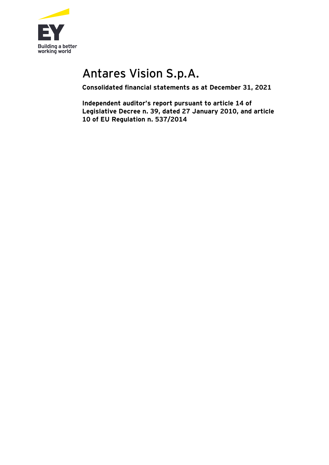

# Antares Vision S.p.A.

**Consolidated financial statements as at December 31, 2021**

**Independent auditor's report pursuant to article 14 of Legislative Decree n. 39, dated 27 January 2010, and article 10 of EU Regulation n. 537/2014**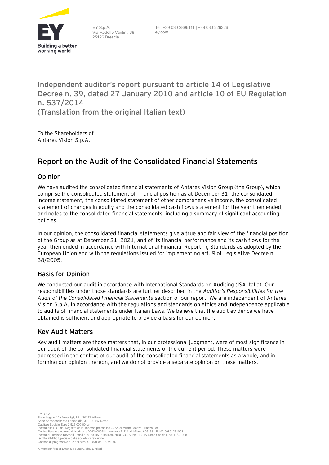

EY S.p.A. Via Rodolfo Vantini, 38 25126 Brescia

Tel: +39 030 2896111 | +39 030 226326 ey.com

## **Independent auditor's report pursuant to article 14 of Legislative Decree n. 39, dated 27 January 2010 and article 10 of EU Regulation n. 537/2014 (Translation from the original Italian text)**

To the Shareholders of Antares Vision S.p.A.

# **Report on the Audit of the Consolidated Financial Statements**

#### **Opinion**

We have audited the consolidated financial statements of Antares Vision Group (the Group), which comprise the consolidated statement of financial position as at December 31, the consolidated income statement, the consolidated statement of other comprehensive income, the consolidated statement of changes in equity and the consolidated cash flows statement for the year then ended, and notes to the consolidated financial statements, including a summary of significant accounting policies.

In our opinion, the consolidated financial statements give a true and fair view of the financial position of the Group as at December 31, 2021, and of its financial performance and its cash flows for the year then ended in accordance with International Financial Reporting Standards as adopted by the European Union and with the regulations issued for implementing art. 9 of Legislative Decree n. 38/2005.

#### **Basis for Opinion**

We conducted our audit in accordance with International Standards on Auditing (ISA Italia). Our responsibilities under those standards are further described in the *Auditor's Responsibilities for the Audit of the Consolidated Financial Statements* section of our report. We are independent of Antares Vision S.p.A. in accordance with the regulations and standards on ethics and independence applicable to audits of financial statements under Italian Laws. We believe that the audit evidence we have obtained is sufficient and appropriate to provide a basis for our opinion.

#### **Key Audit Matters**

Key audit matters are those matters that, in our professional judgment, were of most significance in our audit of the consolidated financial statements of the current period. These matters were addressed in the context of our audit of the consolidated financial statements as a whole, and in forming our opinion thereon, and we do not provide a separate opinion on these matters.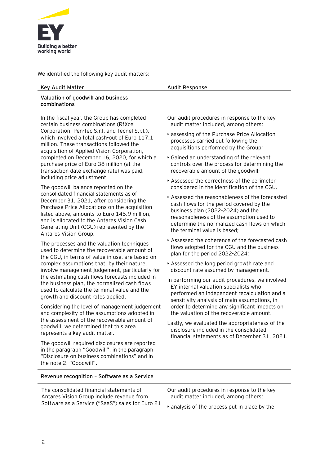

We identified the following key audit matters:

#### **Key Audit Matter Audit Response**

#### **Valuation of goodwill and business combinations**

In the fiscal year, the Group has completed certain business combinations (RfXcel Corporation, Pen-Tec S.r.l. and Tecnel S.r.l.), which involved a total cash-out of Euro 117.1 million. These transactions followed the acquisition of Applied Vision Corporation, completed on December 16, 2020, for which a purchase price of Euro 38 million (at the transaction date exchange rate) was paid, including price adjustment.

The goodwill balance reported on the consolidated financial statements as of December 31, 2021, after considering the Purchase Price Allocations on the acquisition listed above, amounts to Euro 145.9 million, and is allocated to the Antares Vision Cash Generating Unit (CGU) represented by the Antares Vision Group.

The processes and the valuation techniques used to determine the recoverable amount of the CGU, in terms of value in use, are based on complex assumptions that, by their nature, involve management judgement, particularly for the estimating cash flows forecasts included in the business plan, the normalized cash flows used to calculate the terminal value and the growth and discount rates applied.

Considering the level of management judgement and complexity of the assumptions adopted in the assessment of the recoverable amount of goodwill, we determined that this area represents a key audit matter.

The goodwill required disclosures are reported in the paragraph "Goodwill", in the paragraph "Disclosure on business combinations" and in the note 2. "Goodwill".

Our audit procedures in response to the key audit matter included, among others:

- assessing of the Purchase Price Allocation processes carried out following the acquisitions performed by the Group;
- Gained an understanding of the relevant controls over the process for determining the recoverable amount of the goodwill;
- Assessed the correctness of the perimeter considered in the identification of the CGU.
- Assessed the reasonableness of the forecasted cash flows for the period covered by the business plan (2022-2024) and the reasonableness of the assumption used to determine the normalized cash flows on which the terminal value is based;
- Assessed the coherence of the forecasted cash flows adopted for the CGU and the business plan for the period 2022-2024;
- Assessed the long period growth rate and discount rate assumed by management.
- In performing our audit procedures, we involved EY internal valuation specialists who performed an independent recalculation and a sensitivity analysis of main assumptions, in order to determine any significant impacts on the valuation of the recoverable amount.
- Lastly, we evaluated the appropriateness of the disclosure included in the consolidated financial statements as of December 31, 2021.

|  | Revenue recognition - Software as a Service |  |  |  |  |
|--|---------------------------------------------|--|--|--|--|
|--|---------------------------------------------|--|--|--|--|

| The consolidated financial statements of         | Our audit procedures in response to the key   |  |  |
|--------------------------------------------------|-----------------------------------------------|--|--|
| Antares Vision Group include revenue from        | audit matter included, among others:          |  |  |
| Software as a Service ("SaaS") sales for Euro 21 | A analysis of the process put in place by the |  |  |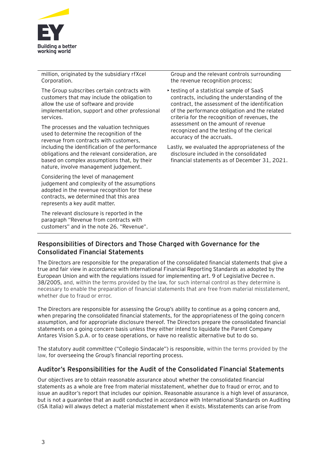

million, originated by the subsidiary rfXcel Corporation.

The Group subscribes certain contracts with customers that may include the obligation to allow the use of software and provide implementation, support and other professional services.

The processes and the valuation techniques used to determine the recognition of the revenue from contracts with customers, including the identification of the performance obligations and the relevant consideration, are based on complex assumptions that, by their nature, involve management judgement.

Considering the level of management judgement and complexity of the assumptions adopted in the revenue recognition for these contracts, we determined that this area represents a key audit matter.

The relevant disclosure is reported in the paragraph "Revenue from contracts with customers" and in the note 26. "Revenue". Group and the relevant controls surrounding the revenue recognition process;

• testing of a statistical sample of SaaS contracts, including the understanding of the contract, the assessment of the identification of the performance obligation and the related criteria for the recognition of revenues, the assessment on the amount of revenue recognized and the testing of the clerical accuracy of the accruals.

Lastly, we evaluated the appropriateness of the disclosure included in the consolidated financial statements as of December 31, 2021.

#### **Responsibilities of Directors and Those Charged with Governance for the Consolidated Financial Statements**

The Directors are responsible for the preparation of the consolidated financial statements that give a true and fair view in accordance with International Financial Reporting Standards as adopted by the European Union and with the regulations issued for implementing art. 9 of Legislative Decree n. 38/2005, and, within the terms provided by the law, for such internal control as they determine is necessary to enable the preparation of financial statements that are free from material misstatement, whether due to fraud or error.

The Directors are responsible for assessing the Group's ability to continue as a going concern and, when preparing the consolidated financial statements, for the appropriateness of the going concern assumption, and for appropriate disclosure thereof. The Directors prepare the consolidated financial statements on a going concern basis unless they either intend to liquidate the Parent Company Antares Vision S.p.A. or to cease operations, or have no realistic alternative but to do so.

The statutory audit committee ("Collegio Sindacale") is responsible, within the terms provided by the law, for overseeing the Group's financial reporting process.

#### **Auditor's Responsibilities for the Audit of the Consolidated Financial Statements**

Our objectives are to obtain reasonable assurance about whether the consolidated financial statements as a whole are free from material misstatement, whether due to fraud or error, and to issue an auditor's report that includes our opinion. Reasonable assurance is a high level of assurance, but is not a guarantee that an audit conducted in accordance with International Standards on Auditing (ISA Italia) will always detect a material misstatement when it exists. Misstatements can arise from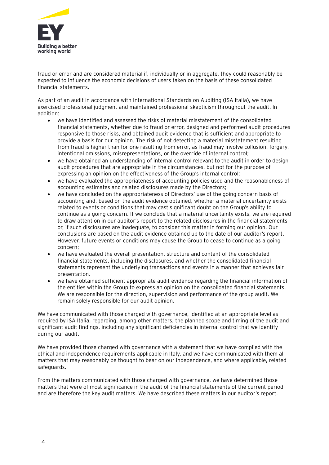

fraud or error and are considered material if, individually or in aggregate, they could reasonably be expected to influence the economic decisions of users taken on the basis of these consolidated financial statements.

As part of an audit in accordance with International Standards on Auditing (ISA Italia), we have exercised professional judgment and maintained professional skepticism throughout the audit. In addition:

- we have identified and assessed the risks of material misstatement of the consolidated financial statements, whether due to fraud or error, designed and performed audit procedures responsive to those risks, and obtained audit evidence that is sufficient and appropriate to provide a basis for our opinion. The risk of not detecting a material misstatement resulting from fraud is higher than for one resulting from error, as fraud may involve collusion, forgery, intentional omissions, misrepresentations, or the override of internal control;
- we have obtained an understanding of internal control relevant to the audit in order to design audit procedures that are appropriate in the circumstances, but not for the purpose of expressing an opinion on the effectiveness of the Group's internal control;
- we have evaluated the appropriateness of accounting policies used and the reasonableness of accounting estimates and related disclosures made by the Directors;
- we have concluded on the appropriateness of Directors' use of the going concern basis of accounting and, based on the audit evidence obtained, whether a material uncertainty exists related to events or conditions that may cast significant doubt on the Group's ability to continue as a going concern. If we conclude that a material uncertainty exists, we are required to draw attention in our auditor's report to the related disclosures in the financial statements or, if such disclosures are inadequate, to consider this matter in forming our opinion. Our conclusions are based on the audit evidence obtained up to the date of our auditor's report. However, future events or conditions may cause the Group to cease to continue as a going concern;
- we have evaluated the overall presentation, structure and content of the consolidated financial statements, including the disclosures, and whether the consolidated financial statements represent the underlying transactions and events in a manner that achieves fair presentation.
- we have obtained sufficient appropriate audit evidence regarding the financial information of the entities within the Group to express an opinion on the consolidated financial statements. We are responsible for the direction, supervision and performance of the group audit. We remain solely responsible for our audit opinion.

We have communicated with those charged with governance, identified at an appropriate level as required by ISA Italia, regarding, among other matters, the planned scope and timing of the audit and significant audit findings, including any significant deficiencies in internal control that we identify during our audit.

We have provided those charged with governance with a statement that we have complied with the ethical and independence requirements applicable in Italy, and we have communicated with them all matters that may reasonably be thought to bear on our independence, and where applicable, related safeguards.

From the matters communicated with those charged with governance, we have determined those matters that were of most significance in the audit of the financial statements of the current period and are therefore the key audit matters. We have described these matters in our auditor's report.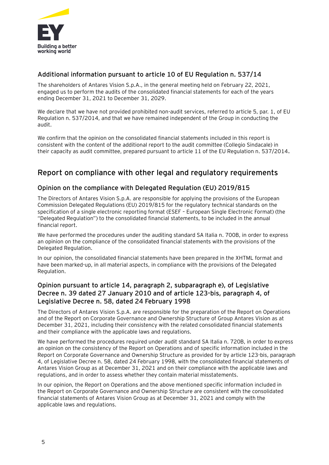

#### **Additional information pursuant to article 10 of EU Regulation n. 537/14**

The shareholders of Antares Vision S.p.A., in the general meeting held on February 22, 2021, engaged us to perform the audits of the consolidated financial statements for each of the years ending December 31, 2021 to December 31, 2029.

We declare that we have not provided prohibited non-audit services, referred to article 5, par. 1, of EU Regulation n. 537/2014, and that we have remained independent of the Group in conducting the audit.

We confirm that the opinion on the consolidated financial statements included in this report is consistent with the content of the additional report to the audit committee (Collegio Sindacale) in their capacity as audit committee, prepared pursuant to article 11 of the EU Regulation n. 537/2014**.**

## **Report on compliance with other legal and regulatory requirements**

#### **Opinion on the compliance with Delegated Regulation (EU) 2019/815**

The Directors of Antares Vision S.p.A. are responsible for applying the provisions of the European Commission Delegated Regulations (EU) 2019/815 for the regulatory technical standards on the specification of a single electronic reporting format (ESEF – European Single Electronic Format) (the "Delegated Regulation") to the consolidated financial statements, to be included in the annual financial report.

We have performed the procedures under the auditing standard SA Italia n. 700B, in order to express an opinion on the compliance of the consolidated financial statements with the provisions of the Delegated Regulation.

In our opinion, the consolidated financial statements have been prepared in the XHTML format and have been marked-up, in all material aspects, in compliance with the provisions of the Delegated Regulation.

#### **Opinion pursuant to article 14, paragraph 2, subparagraph e), of Legislative Decree n. 39 dated 27 January 2010 and of article 123-bis, paragraph 4, of Legislative Decree n. 58, dated 24 February 1998**

The Directors of Antares Vision S.p.A. are responsible for the preparation of the Report on Operations and of the Report on Corporate Governance and Ownership Structure of Group Antares Vision as at December 31, 2021, including their consistency with the related consolidated financial statements and their compliance with the applicable laws and regulations.

We have performed the procedures required under audit standard SA Italia n. 720B, in order to express an opinion on the consistency of the Report on Operations and of specific information included in the Report on Corporate Governance and Ownership Structure as provided for by article 123-bis, paragraph 4, of Legislative Decree n. 58, dated 24 February 1998, with the consolidated financial statements of Antares Vision Group as at December 31, 2021 and on their compliance with the applicable laws and regulations, and in order to assess whether they contain material misstatements.

In our opinion, the Report on Operations and the above mentioned specific information included in the Report on Corporate Governance and Ownership Structure are consistent with the consolidated financial statements of Antares Vision Group as at December 31, 2021 and comply with the applicable laws and regulations.